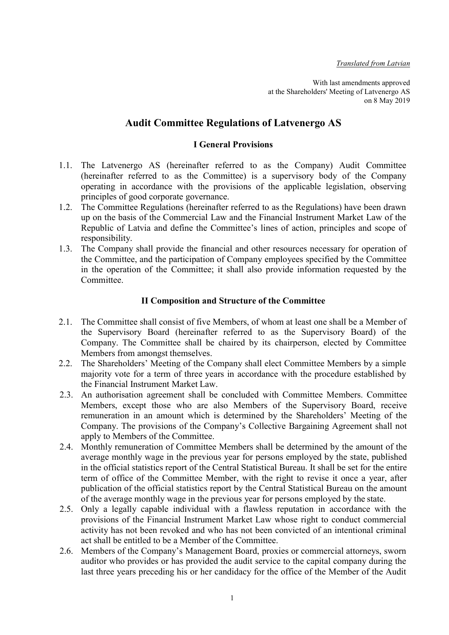With last amendments approved at the Shareholders' Meeting of Latvenergo AS on 8 May 2019

# Audit Committee Regulations of Latvenergo AS

### I General Provisions

- 1.1. The Latvenergo AS (hereinafter referred to as the Company) Audit Committee (hereinafter referred to as the Committee) is a supervisory body of the Company operating in accordance with the provisions of the applicable legislation, observing principles of good corporate governance.
- 1.2. The Committee Regulations (hereinafter referred to as the Regulations) have been drawn up on the basis of the Commercial Law and the Financial Instrument Market Law of the Republic of Latvia and define the Committee's lines of action, principles and scope of responsibility.
- 1.3. The Company shall provide the financial and other resources necessary for operation of the Committee, and the participation of Company employees specified by the Committee in the operation of the Committee; it shall also provide information requested by the Committee.

### II Composition and Structure of the Committee

- 2.1. The Committee shall consist of five Members, of whom at least one shall be a Member of the Supervisory Board (hereinafter referred to as the Supervisory Board) of the Company. The Committee shall be chaired by its chairperson, elected by Committee Members from amongst themselves.
- 2.2. The Shareholders' Meeting of the Company shall elect Committee Members by a simple majority vote for a term of three years in accordance with the procedure established by the Financial Instrument Market Law.
- 2.3. An authorisation agreement shall be concluded with Committee Members. Committee Members, except those who are also Members of the Supervisory Board, receive remuneration in an amount which is determined by the Shareholders' Meeting of the Company. The provisions of the Company's Collective Bargaining Agreement shall not apply to Members of the Committee.
- 2.4. Monthly remuneration of Committee Members shall be determined by the amount of the average monthly wage in the previous year for persons employed by the state, published in the official statistics report of the Central Statistical Bureau. It shall be set for the entire term of office of the Committee Member, with the right to revise it once a year, after publication of the official statistics report by the Central Statistical Bureau on the amount of the average monthly wage in the previous year for persons employed by the state.
- 2.5. Only a legally capable individual with a flawless reputation in accordance with the provisions of the Financial Instrument Market Law whose right to conduct commercial activity has not been revoked and who has not been convicted of an intentional criminal act shall be entitled to be a Member of the Committee.
- 2.6. Members of the Company's Management Board, proxies or commercial attorneys, sworn auditor who provides or has provided the audit service to the capital company during the last three years preceding his or her candidacy for the office of the Member of the Audit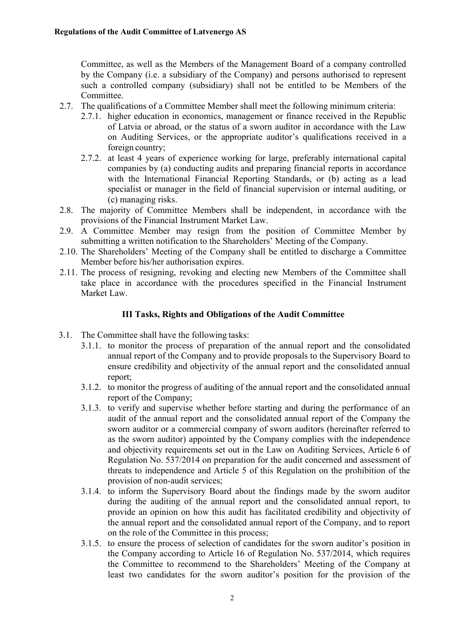Committee, as well as the Members of the Management Board of a company controlled by the Company (i.e. a subsidiary of the Company) and persons authorised to represent such a controlled company (subsidiary) shall not be entitled to be Members of the Committee.

- 2.7. The qualifications of a Committee Member shall meet the following minimum criteria:
	- 2.7.1. higher education in economics, management or finance received in the Republic of Latvia or abroad, or the status of a sworn auditor in accordance with the Law on Auditing Services, or the appropriate auditor's qualifications received in a foreign country;
	- 2.7.2. at least 4 years of experience working for large, preferably international capital companies by (a) conducting audits and preparing financial reports in accordance with the International Financial Reporting Standards, or (b) acting as a lead specialist or manager in the field of financial supervision or internal auditing, or (c) managing risks.
- 2.8. The majority of Committee Members shall be independent, in accordance with the provisions of the Financial Instrument Market Law.
- 2.9. A Committee Member may resign from the position of Committee Member by submitting a written notification to the Shareholders' Meeting of the Company.
- 2.10. The Shareholders' Meeting of the Company shall be entitled to discharge a Committee Member before his/her authorisation expires.
- 2.11. The process of resigning, revoking and electing new Members of the Committee shall take place in accordance with the procedures specified in the Financial Instrument Market Law.

### III Tasks, Rights and Obligations of the Audit Committee

- 3.1. The Committee shall have the following tasks:
	- 3.1.1. to monitor the process of preparation of the annual report and the consolidated annual report of the Company and to provide proposals to the Supervisory Board to ensure credibility and objectivity of the annual report and the consolidated annual report;
	- 3.1.2. to monitor the progress of auditing of the annual report and the consolidated annual report of the Company;
	- 3.1.3. to verify and supervise whether before starting and during the performance of an audit of the annual report and the consolidated annual report of the Company the sworn auditor or a commercial company of sworn auditors (hereinafter referred to as the sworn auditor) appointed by the Company complies with the independence and objectivity requirements set out in the Law on Auditing Services, Article 6 of Regulation No. 537/2014 on preparation for the audit concerned and assessment of threats to independence and Article 5 of this Regulation on the prohibition of the provision of non-audit services;
	- 3.1.4. to inform the Supervisory Board about the findings made by the sworn auditor during the auditing of the annual report and the consolidated annual report, to provide an opinion on how this audit has facilitated credibility and objectivity of the annual report and the consolidated annual report of the Company, and to report on the role of the Committee in this process;
	- 3.1.5. to ensure the process of selection of candidates for the sworn auditor's position in the Company according to Article 16 of Regulation No. 537/2014, which requires the Committee to recommend to the Shareholders' Meeting of the Company at least two candidates for the sworn auditor's position for the provision of the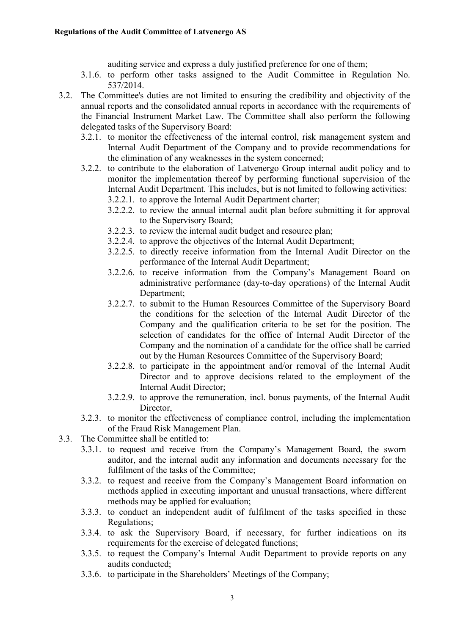auditing service and express a duly justified preference for one of them;

- 3.1.6. to perform other tasks assigned to the Audit Committee in Regulation No. 537/2014.
- 3.2. The Committee's duties are not limited to ensuring the credibility and objectivity of the annual reports and the consolidated annual reports in accordance with the requirements of the Financial Instrument Market Law. The Committee shall also perform the following delegated tasks of the Supervisory Board:
	- 3.2.1. to monitor the effectiveness of the internal control, risk management system and Internal Audit Department of the Company and to provide recommendations for the elimination of any weaknesses in the system concerned;
	- 3.2.2. to contribute to the elaboration of Latvenergo Group internal audit policy and to monitor the implementation thereof by performing functional supervision of the Internal Audit Department. This includes, but is not limited to following activities:
		- 3.2.2.1. to approve the Internal Audit Department charter;
		- 3.2.2.2. to review the annual internal audit plan before submitting it for approval to the Supervisory Board;
		- 3.2.2.3. to review the internal audit budget and resource plan;
		- 3.2.2.4. to approve the objectives of the Internal Audit Department;
		- 3.2.2.5. to directly receive information from the Internal Audit Director on the performance of the Internal Audit Department;
		- 3.2.2.6. to receive information from the Company's Management Board on administrative performance (day-to-day operations) of the Internal Audit Department;
		- 3.2.2.7. to submit to the Human Resources Committee of the Supervisory Board the conditions for the selection of the Internal Audit Director of the Company and the qualification criteria to be set for the position. The selection of candidates for the office of Internal Audit Director of the Company and the nomination of a candidate for the office shall be carried out by the Human Resources Committee of the Supervisory Board;
		- 3.2.2.8. to participate in the appointment and/or removal of the Internal Audit Director and to approve decisions related to the employment of the Internal Audit Director;
		- 3.2.2.9. to approve the remuneration, incl. bonus payments, of the Internal Audit Director,
	- 3.2.3. to monitor the effectiveness of compliance control, including the implementation of the Fraud Risk Management Plan.
- 3.3. The Committee shall be entitled to:
	- 3.3.1. to request and receive from the Company's Management Board, the sworn auditor, and the internal audit any information and documents necessary for the fulfilment of the tasks of the Committee;
	- 3.3.2. to request and receive from the Company's Management Board information on methods applied in executing important and unusual transactions, where different methods may be applied for evaluation;
	- 3.3.3. to conduct an independent audit of fulfilment of the tasks specified in these Regulations;
	- 3.3.4. to ask the Supervisory Board, if necessary, for further indications on its requirements for the exercise of delegated functions;
	- 3.3.5. to request the Company's Internal Audit Department to provide reports on any audits conducted;
	- 3.3.6. to participate in the Shareholders' Meetings of the Company;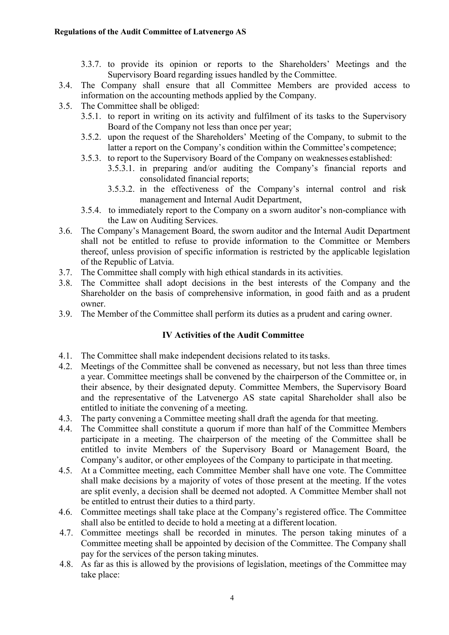- 3.3.7. to provide its opinion or reports to the Shareholders' Meetings and the Supervisory Board regarding issues handled by the Committee.
- 3.4. The Company shall ensure that all Committee Members are provided access to information on the accounting methods applied by the Company.
- 3.5. The Committee shall be obliged:
	- 3.5.1. to report in writing on its activity and fulfilment of its tasks to the Supervisory Board of the Company not less than once per year;
	- 3.5.2. upon the request of the Shareholders' Meeting of the Company, to submit to the latter a report on the Company's condition within the Committee's competence;
	- 3.5.3. to report to the Supervisory Board of the Company on weaknesses established:
		- 3.5.3.1. in preparing and/or auditing the Company's financial reports and consolidated financial reports;
		- 3.5.3.2. in the effectiveness of the Company's internal control and risk management and Internal Audit Department,
	- 3.5.4. to immediately report to the Company on a sworn auditor's non-compliance with the Law on Auditing Services.
- 3.6. The Company's Management Board, the sworn auditor and the Internal Audit Department shall not be entitled to refuse to provide information to the Committee or Members thereof, unless provision of specific information is restricted by the applicable legislation of the Republic of Latvia.
- 3.7. The Committee shall comply with high ethical standards in its activities.
- 3.8. The Committee shall adopt decisions in the best interests of the Company and the Shareholder on the basis of comprehensive information, in good faith and as a prudent owner.
- 3.9. The Member of the Committee shall perform its duties as a prudent and caring owner.

## IV Activities of the Audit Committee

- 4.1. The Committee shall make independent decisions related to its tasks.
- 4.2. Meetings of the Committee shall be convened as necessary, but not less than three times a year. Committee meetings shall be convened by the chairperson of the Committee or, in their absence, by their designated deputy. Committee Members, the Supervisory Board and the representative of the Latvenergo AS state capital Shareholder shall also be entitled to initiate the convening of a meeting.
- 4.3. The party convening a Committee meeting shall draft the agenda for that meeting.
- 4.4. The Committee shall constitute a quorum if more than half of the Committee Members participate in a meeting. The chairperson of the meeting of the Committee shall be entitled to invite Members of the Supervisory Board or Management Board, the Company's auditor, or other employees of the Company to participate in that meeting.
- 4.5. At a Committee meeting, each Committee Member shall have one vote. The Committee shall make decisions by a majority of votes of those present at the meeting. If the votes are split evenly, a decision shall be deemed not adopted. A Committee Member shall not be entitled to entrust their duties to a third party.
- 4.6. Committee meetings shall take place at the Company's registered office. The Committee shall also be entitled to decide to hold a meeting at a different location.
- 4.7. Committee meetings shall be recorded in minutes. The person taking minutes of a Committee meeting shall be appointed by decision of the Committee. The Company shall pay for the services of the person taking minutes.
- 4.8. As far as this is allowed by the provisions of legislation, meetings of the Committee may take place: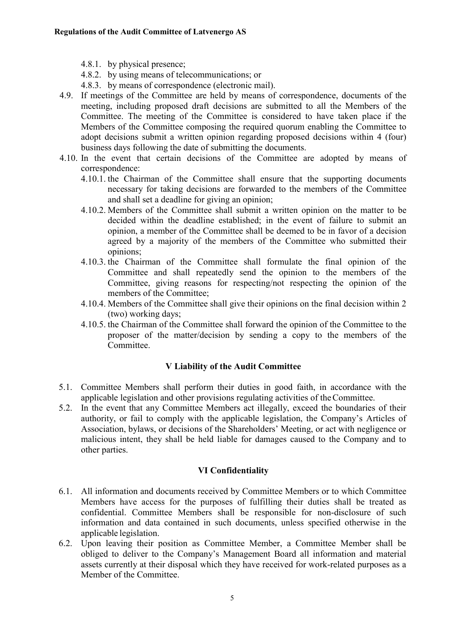- 4.8.1. by physical presence;
- 4.8.2. by using means of telecommunications; or
- 4.8.3. by means of correspondence (electronic mail).
- 4.9. If meetings of the Committee are held by means of correspondence, documents of the meeting, including proposed draft decisions are submitted to all the Members of the Committee. The meeting of the Committee is considered to have taken place if the Members of the Committee composing the required quorum enabling the Committee to adopt decisions submit a written opinion regarding proposed decisions within 4 (four) business days following the date of submitting the documents.
- 4.10. In the event that certain decisions of the Committee are adopted by means of correspondence:
	- 4.10.1. the Chairman of the Committee shall ensure that the supporting documents necessary for taking decisions are forwarded to the members of the Committee and shall set a deadline for giving an opinion;
	- 4.10.2. Members of the Committee shall submit a written opinion on the matter to be decided within the deadline established; in the event of failure to submit an opinion, a member of the Committee shall be deemed to be in favor of a decision agreed by a majority of the members of the Committee who submitted their opinions;
	- 4.10.3. the Chairman of the Committee shall formulate the final opinion of the Committee and shall repeatedly send the opinion to the members of the Committee, giving reasons for respecting/not respecting the opinion of the members of the Committee;
	- 4.10.4. Members of the Committee shall give their opinions on the final decision within 2 (two) working days;
	- 4.10.5. the Chairman of the Committee shall forward the opinion of the Committee to the proposer of the matter/decision by sending a copy to the members of the Committee.

### V Liability of the Audit Committee

- 5.1. Committee Members shall perform their duties in good faith, in accordance with the applicable legislation and other provisions regulating activities of the Committee.
- 5.2. In the event that any Committee Members act illegally, exceed the boundaries of their authority, or fail to comply with the applicable legislation, the Company's Articles of Association, bylaws, or decisions of the Shareholders' Meeting, or act with negligence or malicious intent, they shall be held liable for damages caused to the Company and to other parties.

### VI Confidentiality

- 6.1. All information and documents received by Committee Members or to which Committee Members have access for the purposes of fulfilling their duties shall be treated as confidential. Committee Members shall be responsible for non-disclosure of such information and data contained in such documents, unless specified otherwise in the applicable legislation.
- 6.2. Upon leaving their position as Committee Member, a Committee Member shall be obliged to deliver to the Company's Management Board all information and material assets currently at their disposal which they have received for work-related purposes as a Member of the Committee.